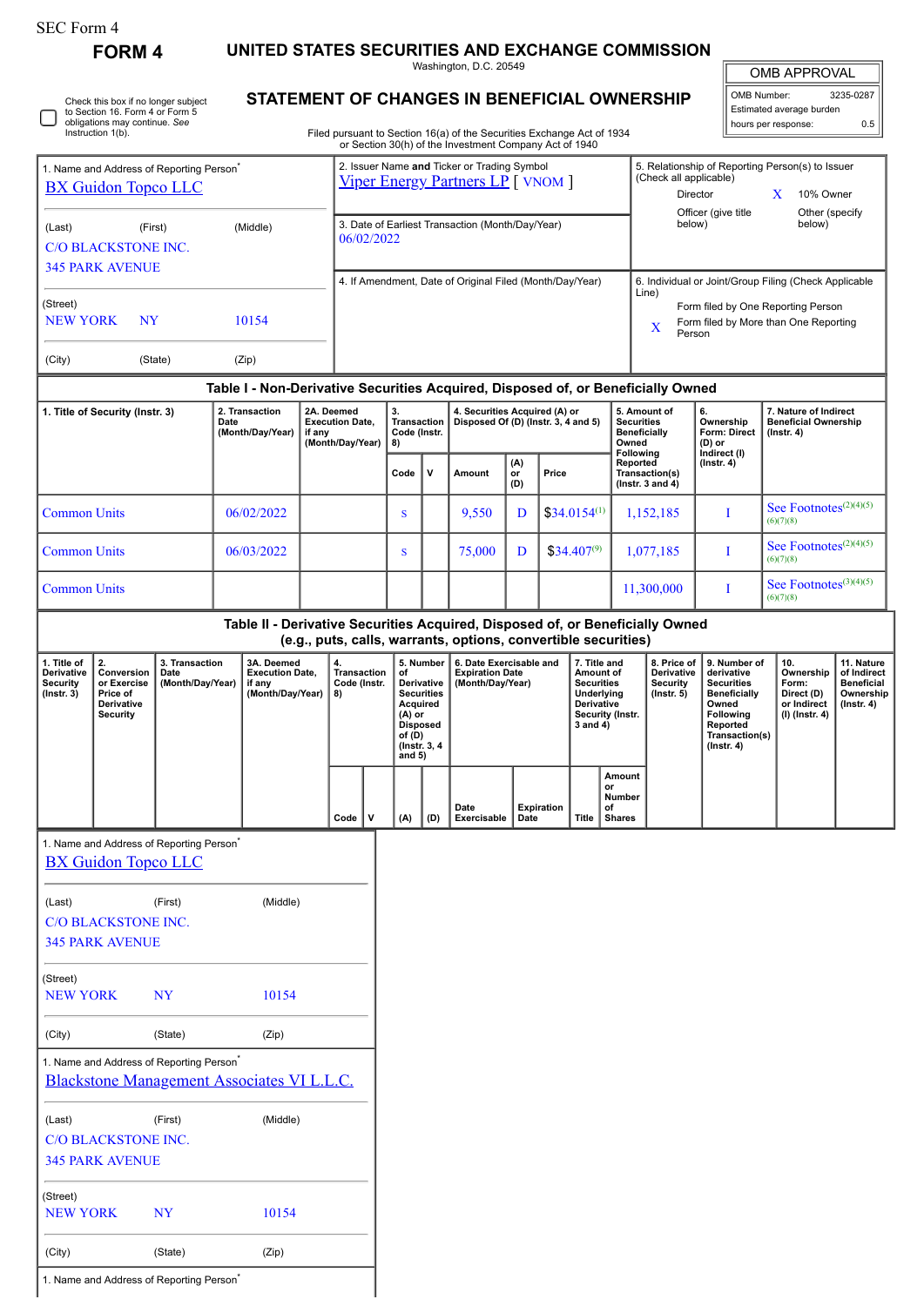| SEC Form 4 |  |
|------------|--|
|------------|--|

∩

Check this box if no longer subject to Section 16. Form 4 or Form 5 obligations may continue. *See* Instruction 1(b).

**FORM 4 UNITED STATES SECURITIES AND EXCHANGE COMMISSION**

Washington, D.C. 20549

| OMB APPROVAL             |           |  |  |  |  |  |  |  |
|--------------------------|-----------|--|--|--|--|--|--|--|
| OMB Number:              | 3235-0287 |  |  |  |  |  |  |  |
| Estimated average burden |           |  |  |  |  |  |  |  |

Б

hours per response: 0.5

**STATEMENT OF CHANGES IN BENEFICIAL OWNERSHIP**

Filed pursuant to Section 16(a) of the Securities Exchange Act of 1934 or Section 30(h) of the Investment Company Act of 1940

| 1. Name and Address of Reporting Person <sup>®</sup><br><b>BX Guidon Topco LLC</b>    |                                                                                                                                                 |                                                                                                           |                                            | 2. Issuer Name and Ticker or Trading Symbol<br><b>Viper Energy Partners LP</b> [ VNOM ] |                                                                |                                                |                                                                                                                   |                                                                   |                                                               |                                                                       |                                                                      | 5. Relationship of Reporting Person(s) to Issuer<br>(Check all applicable)<br>Director<br>X<br>10% Owner |                                                           |                                                                                                                   |                                                                   |                                                     |                                           |                                                                          |                                                                                                                                                |                                                                          |                                                                                 |
|---------------------------------------------------------------------------------------|-------------------------------------------------------------------------------------------------------------------------------------------------|-----------------------------------------------------------------------------------------------------------|--------------------------------------------|-----------------------------------------------------------------------------------------|----------------------------------------------------------------|------------------------------------------------|-------------------------------------------------------------------------------------------------------------------|-------------------------------------------------------------------|---------------------------------------------------------------|-----------------------------------------------------------------------|----------------------------------------------------------------------|----------------------------------------------------------------------------------------------------------|-----------------------------------------------------------|-------------------------------------------------------------------------------------------------------------------|-------------------------------------------------------------------|-----------------------------------------------------|-------------------------------------------|--------------------------------------------------------------------------|------------------------------------------------------------------------------------------------------------------------------------------------|--------------------------------------------------------------------------|---------------------------------------------------------------------------------|
| (Last)<br>(First)<br>(Middle)<br><b>C/O BLACKSTONE INC.</b>                           |                                                                                                                                                 |                                                                                                           |                                            |                                                                                         | 3. Date of Earliest Transaction (Month/Day/Year)<br>06/02/2022 |                                                |                                                                                                                   |                                                                   |                                                               |                                                                       |                                                                      |                                                                                                          | Officer (give title<br>Other (specify<br>below)<br>below) |                                                                                                                   |                                                                   |                                                     |                                           |                                                                          |                                                                                                                                                |                                                                          |                                                                                 |
|                                                                                       | <b>345 PARK AVENUE</b>                                                                                                                          |                                                                                                           |                                            |                                                                                         |                                                                |                                                | 6. Individual or Joint/Group Filing (Check Applicable<br>4. If Amendment, Date of Original Filed (Month/Day/Year) |                                                                   |                                                               |                                                                       |                                                                      |                                                                                                          |                                                           |                                                                                                                   |                                                                   |                                                     |                                           |                                                                          |                                                                                                                                                |                                                                          |                                                                                 |
| (Street)<br><b>NEW YORK</b>                                                           | NY                                                                                                                                              |                                                                                                           |                                            | 10154                                                                                   |                                                                |                                                |                                                                                                                   |                                                                   |                                                               |                                                                       |                                                                      |                                                                                                          |                                                           | Line)<br>Form filed by One Reporting Person<br>Form filed by More than One Reporting<br>X<br>Person               |                                                                   |                                                     |                                           |                                                                          |                                                                                                                                                |                                                                          |                                                                                 |
| (Zip)<br>(City)<br>(State)                                                            |                                                                                                                                                 |                                                                                                           |                                            |                                                                                         |                                                                |                                                |                                                                                                                   |                                                                   |                                                               |                                                                       |                                                                      |                                                                                                          |                                                           |                                                                                                                   |                                                                   |                                                     |                                           |                                                                          |                                                                                                                                                |                                                                          |                                                                                 |
|                                                                                       |                                                                                                                                                 |                                                                                                           |                                            | Table I - Non-Derivative Securities Acquired, Disposed of, or Beneficially Owned        |                                                                |                                                |                                                                                                                   |                                                                   |                                                               |                                                                       |                                                                      |                                                                                                          |                                                           |                                                                                                                   |                                                                   |                                                     |                                           |                                                                          |                                                                                                                                                |                                                                          |                                                                                 |
|                                                                                       | 1. Title of Security (Instr. 3)                                                                                                                 |                                                                                                           | 2. Transaction<br>Date<br>(Month/Day/Year) |                                                                                         | if any                                                         | 2A. Deemed                                     | <b>Execution Date,</b><br>(Month/Day/Year)                                                                        |                                                                   | 3.<br><b>Transaction</b><br>Code (Instr.<br>8)                |                                                                       | 4. Securities Acquired (A) or<br>Disposed Of (D) (Instr. 3, 4 and 5) |                                                                                                          |                                                           |                                                                                                                   | 5. Amount of<br><b>Securities</b><br><b>Beneficially</b><br>Owned |                                                     | 6.<br>Ownership<br>Form: Direct<br>(D) or | 7. Nature of Indirect<br><b>Beneficial Ownership</b><br>$($ Instr. 4 $)$ |                                                                                                                                                |                                                                          |                                                                                 |
|                                                                                       |                                                                                                                                                 |                                                                                                           |                                            |                                                                                         |                                                                |                                                |                                                                                                                   | Code                                                              | v                                                             | Amount                                                                | (A)<br>or<br>(D)                                                     | Price                                                                                                    |                                                           | Following<br>Reported<br>Transaction(s)<br>( $lnstr. 3 and 4$ )                                                   |                                                                   |                                                     | Indirect (I)<br>$($ Instr. 4 $)$          |                                                                          |                                                                                                                                                |                                                                          |                                                                                 |
| <b>Common Units</b>                                                                   |                                                                                                                                                 |                                                                                                           |                                            | 06/02/2022                                                                              |                                                                |                                                |                                                                                                                   | S                                                                 |                                                               | 9,550                                                                 | D                                                                    |                                                                                                          | $$34.0154^{(1)}$                                          |                                                                                                                   | 1,152,185                                                         |                                                     | T                                         | See Footnotes <sup>(2)(4)(5)</sup><br>(6)(7)(8)                          |                                                                                                                                                |                                                                          |                                                                                 |
| <b>Common Units</b>                                                                   |                                                                                                                                                 |                                                                                                           |                                            | 06/03/2022                                                                              |                                                                |                                                |                                                                                                                   | S                                                                 |                                                               | 75,000                                                                | D                                                                    |                                                                                                          | $$34.407^{(9)}$                                           |                                                                                                                   | 1,077,185                                                         |                                                     | I                                         | See Footnotes <sup>(2)(4)(5)</sup><br>(6)(7)(8)                          |                                                                                                                                                |                                                                          |                                                                                 |
| <b>Common Units</b>                                                                   |                                                                                                                                                 |                                                                                                           |                                            |                                                                                         |                                                                |                                                |                                                                                                                   |                                                                   |                                                               |                                                                       |                                                                      |                                                                                                          |                                                           |                                                                                                                   | 11,300,000                                                        |                                                     | I                                         | See Footnotes <sup>(3)(4)(5)</sup><br>(6)(7)(8)                          |                                                                                                                                                |                                                                          |                                                                                 |
|                                                                                       | Table II - Derivative Securities Acquired, Disposed of, or Beneficially Owned<br>(e.g., puts, calls, warrants, options, convertible securities) |                                                                                                           |                                            |                                                                                         |                                                                |                                                |                                                                                                                   |                                                                   |                                                               |                                                                       |                                                                      |                                                                                                          |                                                           |                                                                                                                   |                                                                   |                                                     |                                           |                                                                          |                                                                                                                                                |                                                                          |                                                                                 |
| 1. Title of<br>Derivative<br><b>Security</b><br>(Instr. 3)                            | 2.<br>Conversion<br>or Exercise<br>Price of<br>Derivative<br><b>Security</b>                                                                    | 3. Transaction<br>Date<br>(Month/Day/Year)                                                                |                                            | 3A. Deemed<br><b>Execution Date,</b><br>if any<br>(Month/Day/Year)                      |                                                                | 4.<br><b>Transaction</b><br>Code (Instr.<br>8) |                                                                                                                   | of<br>Acquired<br>(A) or<br><b>Disposed</b><br>of (D)<br>and $5)$ | 5. Number<br>Derivative<br><b>Securities</b><br>(Instr. 3, 4) | 6. Date Exercisable and<br><b>Expiration Date</b><br>(Month/Day/Year) |                                                                      |                                                                                                          |                                                           | 7. Title and<br>Amount of<br><b>Securities</b><br>Underlying<br><b>Derivative</b><br>Security (Instr.<br>3 and 4) |                                                                   | 8. Price of<br>Derivative<br>Security<br>(Instr. 5) |                                           |                                                                          | 9. Number of<br>derivative<br><b>Securities</b><br><b>Beneficially</b><br>Owned<br>Following<br>Reported<br>Transaction(s)<br>$($ Instr. 4 $)$ | 10.<br>Ownership<br>Form:<br>Direct (D)<br>or Indirect<br>(I) (Instr. 4) | 11. Nature<br>of Indirect<br><b>Beneficial</b><br>Ownership<br>$($ lnstr. 4 $)$ |
|                                                                                       |                                                                                                                                                 |                                                                                                           |                                            |                                                                                         |                                                                | Code                                           | v                                                                                                                 | (A)                                                               | (D)                                                           | Date<br>Exercisable                                                   | Date                                                                 | <b>Expiration</b>                                                                                        | <b>Title</b>                                              | Amount<br>or<br><b>Number</b><br>οf<br><b>Shares</b>                                                              |                                                                   |                                                     |                                           |                                                                          |                                                                                                                                                |                                                                          |                                                                                 |
|                                                                                       | 1. Name and Address of Reporting Person<br><b>BX Guidon Topco LLC</b>                                                                           |                                                                                                           |                                            |                                                                                         |                                                                |                                                |                                                                                                                   |                                                                   |                                                               |                                                                       |                                                                      |                                                                                                          |                                                           |                                                                                                                   |                                                                   |                                                     |                                           |                                                                          |                                                                                                                                                |                                                                          |                                                                                 |
| (Middle)<br>(First)<br>(Last)<br><b>C/O BLACKSTONE INC.</b><br><b>345 PARK AVENUE</b> |                                                                                                                                                 |                                                                                                           |                                            |                                                                                         |                                                                |                                                |                                                                                                                   |                                                                   |                                                               |                                                                       |                                                                      |                                                                                                          |                                                           |                                                                                                                   |                                                                   |                                                     |                                           |                                                                          |                                                                                                                                                |                                                                          |                                                                                 |
| (Street)<br><b>NEW YORK</b><br><b>NY</b><br>10154                                     |                                                                                                                                                 |                                                                                                           |                                            |                                                                                         |                                                                |                                                |                                                                                                                   |                                                                   |                                                               |                                                                       |                                                                      |                                                                                                          |                                                           |                                                                                                                   |                                                                   |                                                     |                                           |                                                                          |                                                                                                                                                |                                                                          |                                                                                 |
| (City)                                                                                |                                                                                                                                                 | (State)                                                                                                   |                                            | (Zip)                                                                                   |                                                                |                                                |                                                                                                                   |                                                                   |                                                               |                                                                       |                                                                      |                                                                                                          |                                                           |                                                                                                                   |                                                                   |                                                     |                                           |                                                                          |                                                                                                                                                |                                                                          |                                                                                 |
|                                                                                       |                                                                                                                                                 | 1. Name and Address of Reporting Person <sup>*</sup><br><b>Blackstone Management Associates VI L.L.C.</b> |                                            |                                                                                         |                                                                |                                                |                                                                                                                   |                                                                   |                                                               |                                                                       |                                                                      |                                                                                                          |                                                           |                                                                                                                   |                                                                   |                                                     |                                           |                                                                          |                                                                                                                                                |                                                                          |                                                                                 |
| (Last)                                                                                | C/O BLACKSTONE INC.<br><b>345 PARK AVENUE</b>                                                                                                   | (First)                                                                                                   |                                            | (Middle)                                                                                |                                                                |                                                |                                                                                                                   |                                                                   |                                                               |                                                                       |                                                                      |                                                                                                          |                                                           |                                                                                                                   |                                                                   |                                                     |                                           |                                                                          |                                                                                                                                                |                                                                          |                                                                                 |
| (Street)<br><b>NEW YORK</b>                                                           |                                                                                                                                                 | <b>NY</b>                                                                                                 |                                            | 10154                                                                                   |                                                                |                                                |                                                                                                                   |                                                                   |                                                               |                                                                       |                                                                      |                                                                                                          |                                                           |                                                                                                                   |                                                                   |                                                     |                                           |                                                                          |                                                                                                                                                |                                                                          |                                                                                 |

1. Name and Address of Reporting Person<sup>\*</sup>

(City) (State) (Zip)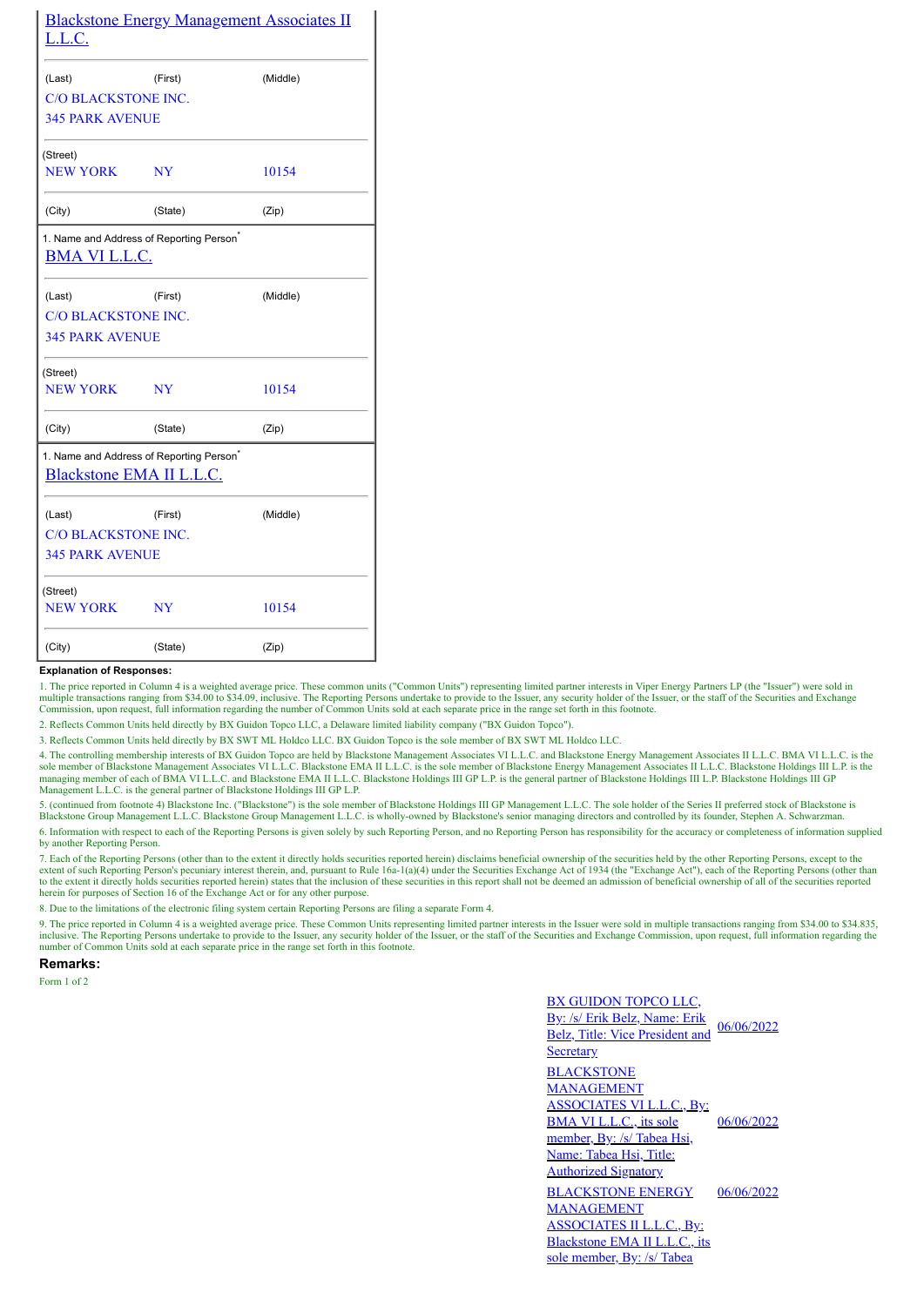| <u>L.L.C.</u>               | <b>Blackstone Energy Management Associates II</b>    |          |  |  |  |  |
|-----------------------------|------------------------------------------------------|----------|--|--|--|--|
| (Last)                      | (First)                                              | (Middle) |  |  |  |  |
| <b>C/O BLACKSTONE INC.</b>  |                                                      |          |  |  |  |  |
| <b>345 PARK AVENUE</b>      |                                                      |          |  |  |  |  |
| (Street)                    |                                                      |          |  |  |  |  |
| <b>NEW YORK</b>             | NY                                                   | 10154    |  |  |  |  |
| (City)                      | (State)                                              | (Zip)    |  |  |  |  |
| <b>BMA VI L.L.C.</b>        | 1. Name and Address of Reporting Person <sup>®</sup> |          |  |  |  |  |
| (Last)                      | (First)                                              | (Middle) |  |  |  |  |
| <b>C/O BLACKSTONE INC.</b>  |                                                      |          |  |  |  |  |
| <b>345 PARK AVENUE</b>      |                                                      |          |  |  |  |  |
| (Street)<br><b>NEW YORK</b> | NY                                                   | 10154    |  |  |  |  |
|                             |                                                      |          |  |  |  |  |
| (City)                      | (State)                                              | (Zip)    |  |  |  |  |
| Blackstone EMA II L.L.C.    | 1. Name and Address of Reporting Person <sup>*</sup> |          |  |  |  |  |
| (Last)<br>(First)           |                                                      | (Middle) |  |  |  |  |
| <b>C/O BLACKSTONE INC.</b>  |                                                      |          |  |  |  |  |
| <b>345 PARK AVENUE</b>      |                                                      |          |  |  |  |  |
| (Street)                    |                                                      |          |  |  |  |  |
| <b>NEW YORK</b>             | 10154                                                |          |  |  |  |  |
| (City)                      | (State)                                              | (Zip)    |  |  |  |  |

## **Explanation of Responses:**

1. The price reported in Column 4 is a weighted average price. These common units ("Common Units") representing limited partner interests in Viper Energy Partners LP (the "Issuer") were sold in multiple transactions rangin

2. Reflects Common Units held directly by BX Guidon Topco LLC, a Delaware limited liability company ("BX Guidon Topco").

3. Reflects Common Units held directly by BX SWT ML Holdco LLC. BX Guidon Topco is the sole member of BX SWT ML Holdco LLC.

4. The controlling membership interests of BX Guidon Topco are held by Blackstone Management Associates VI L.L.C. and Blackstone Energy Management Associates II L.L.C. BMA VI L.L.C. is the sole member of Blackstone Managem Management L.L.C. is the general partner of Blackstone Holdings III GP L.P.

5. (continued from footnote 4) Blackstone Inc. ("Blackstone") is the sole member of Blackstone Holdings III GP Management L.L.C. The sole holder of the Series II preferred stock of Blackstone is Blackstone Group Management L.L.C. Blackstone Group Management L.L.C. is wholly-owned by Blackstone's senior managing directors and controlled by its founder, Stephen A. Schwarzman.

6. Information with respect to each of the Reporting Persons is given solely by such Reporting Person, and no Reporting Person has responsibility for the accuracy or completeness of information supplied by another Reporting Person.

7. Each of the Reporting Persons (other than to the extent it directly holds securities reported herein) disclaims beneficial ownership of the securities held by the other Reporting Persons, except to the extent of such ap to the extent it directly holds securities reported herein) states that the inclusion of these securities in this report shall not be deemed an admission of beneficial ownership of all of the securities reported herein for purposes of Section 16 of the Exchange Act or for any other purpose.

8. Due to the limitations of the electronic filing system certain Reporting Persons are filing a separate Form 4.

9. The price reported in Column 4 is a weighted average price. These Common Units representing limited partner interests in the Issuer were sold in multiple transactions ranging from \$34.00 to \$34.835, inclusive. The Repor number of Common Units sold at each separate price in the range set forth in this footnote.

**Remarks:**

Form 1 of 2

BX GUIDON TOPCO LLC, By: /s/ Erik Belz, Name: Erik Belz, Title: Vice President and **Secretary** 06/06/2022 **BLACKSTONE** MANAGEMENT ASSOCIATES VI L.L.C., By: BMA VI L.L.C., its sole member, By: /s/ Tabea Hsi, Name: Tabea Hsi, Title: Authorized Signatory 06/06/2022 BLACKSTONE ENERGY MANAGEMENT ASSOCIATES II L.L.C., By: Blackstone EMA II L.L.C., its sole member, By: /s/ Tabea 06/06/2022